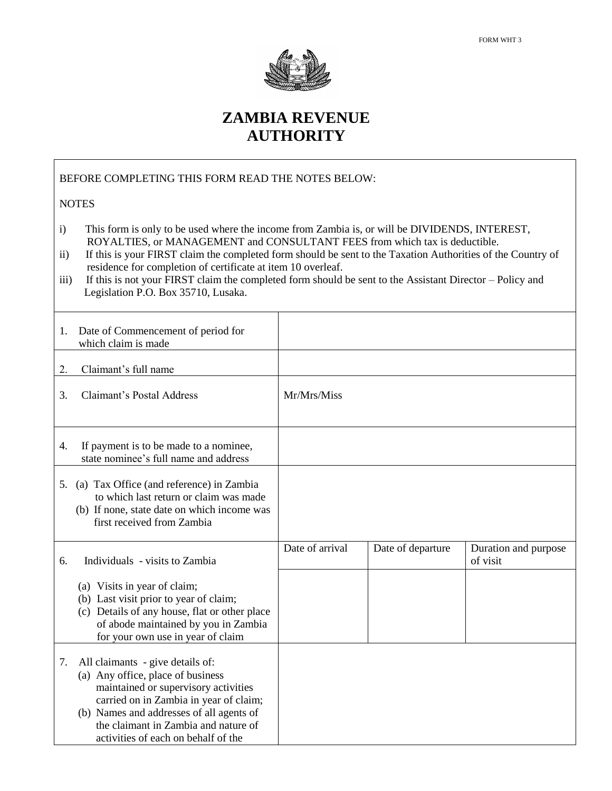

## **ZAMBIA REVENUE AUTHORITY**

DOUBLE TAXATION RELIEF CLAIM FOR LIMITED

BEFORE COMPLETING THIS FORM READ THE NOTES BELOW:

## **NOTES**

- i) This form is only to be used where the income from Zambia is, or will be DIVIDENDS, INTEREST, ROYALTIES, or MANAGEMENT and CONSULTANT FEES from which tax is deductible.
- ii) If this is your FIRST claim the completed form should be sent to the Taxation Authorities of the Country of residence for completion of certificate at item 10 overleaf.
- iii) If this is not your FIRST claim the completed form should be sent to the Assistant Director Policy and Legislation P.O. Box 35710, Lusaka.

| 1. | Date of Commencement of period for<br>which claim is made                                                                                                                                                                                                                          |                 |                   |                                  |
|----|------------------------------------------------------------------------------------------------------------------------------------------------------------------------------------------------------------------------------------------------------------------------------------|-----------------|-------------------|----------------------------------|
| 2. | Claimant's full name                                                                                                                                                                                                                                                               |                 |                   |                                  |
| 3. | <b>Claimant's Postal Address</b>                                                                                                                                                                                                                                                   | Mr/Mrs/Miss     |                   |                                  |
| 4. | If payment is to be made to a nominee,<br>state nominee's full name and address                                                                                                                                                                                                    |                 |                   |                                  |
| 5. | (a) Tax Office (and reference) in Zambia<br>to which last return or claim was made<br>(b) If none, state date on which income was<br>first received from Zambia                                                                                                                    |                 |                   |                                  |
| 6. | Individuals - visits to Zambia                                                                                                                                                                                                                                                     | Date of arrival | Date of departure | Duration and purpose<br>of visit |
|    | (a) Visits in year of claim;<br>(b) Last visit prior to year of claim;<br>(c) Details of any house, flat or other place<br>of abode maintained by you in Zambia<br>for your own use in year of claim                                                                               |                 |                   |                                  |
| 7. | All claimants - give details of:<br>(a) Any office, place of business<br>maintained or supervisory activities<br>carried on in Zambia in year of claim;<br>(b) Names and addresses of all agents of<br>the claimant in Zambia and nature of<br>activities of each on behalf of the |                 |                   |                                  |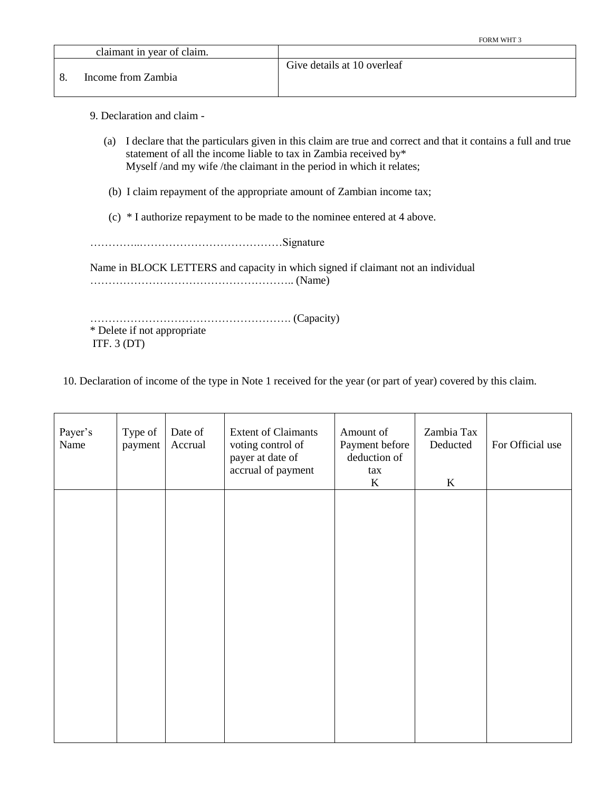| claimant in year of claim. |                             |
|----------------------------|-----------------------------|
|                            | Give details at 10 overleaf |
| Income from Zambia         |                             |
|                            |                             |

9. Declaration and claim -

- (a) I declare that the particulars given in this claim are true and correct and that it contains a full and true statement of all the income liable to tax in Zambia received by\* Myself /and my wife /the claimant in the period in which it relates;
- (b) I claim repayment of the appropriate amount of Zambian income tax;
- (c) \* I authorize repayment to be made to the nominee entered at 4 above.

…………..…………………………………Signature

Name in BLOCK LETTERS and capacity in which signed if claimant not an individual ……………………………………………….. (Name)

………………………………………………. (Capacity) \* Delete if not appropriate ITF. 3 (DT)

10. Declaration of income of the type in Note 1 received for the year (or part of year) covered by this claim.

| Payer's<br>Name | Type of<br>payment | Date of<br>Accrual | <b>Extent of Claimants</b><br>voting control of<br>payer at date of<br>accrual of payment | Amount of<br>Payment before<br>deduction of<br>tax<br>$\bf K$ | Zambia Tax<br>Deducted<br>K | For Official use |
|-----------------|--------------------|--------------------|-------------------------------------------------------------------------------------------|---------------------------------------------------------------|-----------------------------|------------------|
|                 |                    |                    |                                                                                           |                                                               |                             |                  |
|                 |                    |                    |                                                                                           |                                                               |                             |                  |
|                 |                    |                    |                                                                                           |                                                               |                             |                  |
|                 |                    |                    |                                                                                           |                                                               |                             |                  |